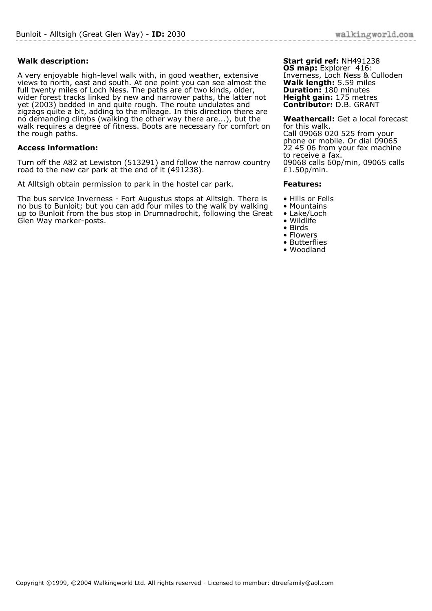## **Walk description:**

A very enjoyable high-level walk with, in good weather, extensive views to north, east and south. At one point you can see almost the full twenty miles of Loch Ness. The paths are of two kinds, older, wider forest tracks linked by new and narrower paths, the latter not yet (2003) bedded in and quite rough. The route undulates and zigzags quite a bit, adding to the mileage. In this direction there are no demanding climbs (walking the other way there are...), but the walk requires a degree of fitness. Boots are necessary for comfort on the rough paths.

## **Access information:**

Turn off the A82 at Lewiston (513291) and follow the narrow country road to the new car park at the end of it (491238).

At Alltsigh obtain permission to park in the hostel car park.

The bus service Inverness - Fort Augustus stops at Alltsigh. There is no bus to Bunloit; but you can add four miles to the walk by walking up to Bunloit from the bus stop in Drumnadrochit, following the Great Glen Way marker-posts.

#### **Start grid ref:** NH491238 **OS map:** Explorer 416: Inverness, Loch Ness & Culloden **Walk length:** 5.59 miles **Duration:** 180 minutes **Height gain:** 175 metres **Contributor:** D.B. GRANT

**Weathercall:** Get a local forecast for this walk. Call 09068 020 525 from your phone or mobile. Or dial 09065 22 45 06 from your fax machine to receive a fax. 09068 calls 60p/min, 09065 calls £1.50p/min.

### **Features:**

- Hills or Fells
- Mountains
- Lake/Loch
- Wildlife
- Birds
- Flowers • Butterflies
- Woodland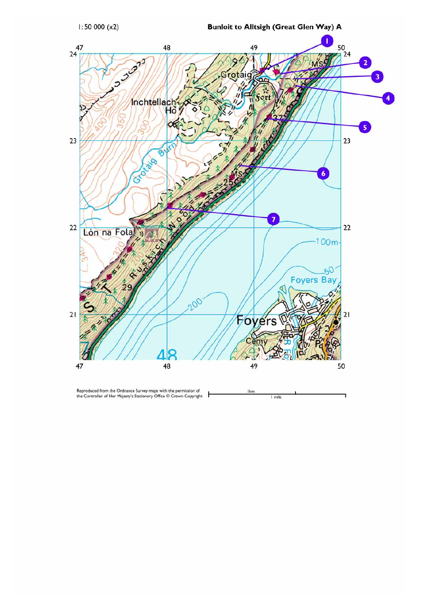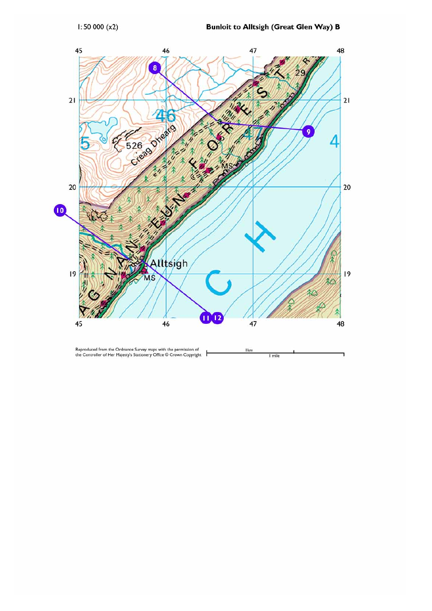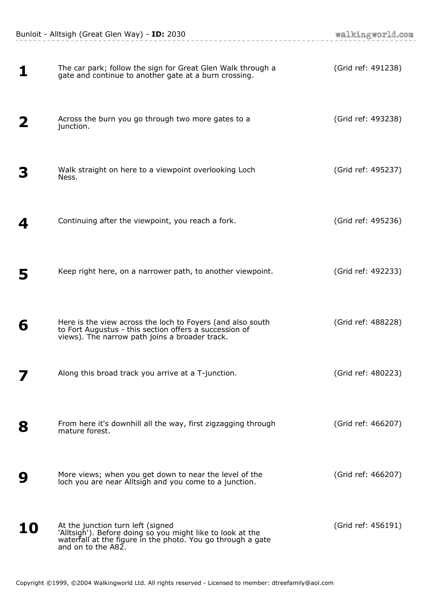| 1  | The car park; follow the sign for Great Glen Walk through a<br>gate and continue to another gate at a burn crossing.                                                              | (Grid ref: 491238) |
|----|-----------------------------------------------------------------------------------------------------------------------------------------------------------------------------------|--------------------|
| 2  | Across the burn you go through two more gates to a<br>junction.                                                                                                                   | (Grid ref: 493238) |
|    | Walk straight on here to a viewpoint overlooking Loch<br>Ness.                                                                                                                    | (Grid ref: 495237) |
| 4  | Continuing after the viewpoint, you reach a fork.                                                                                                                                 | (Grid ref: 495236) |
| 5  | Keep right here, on a narrower path, to another viewpoint.                                                                                                                        | (Grid ref: 492233) |
| 6  | Here is the view across the loch to Foyers (and also south<br>to Fort Augustus - this section offers a succession of<br>views). The narrow path joins a broader track.            | (Grid ref: 488228) |
|    | Along this broad track you arrive at a T-junction.                                                                                                                                | (Grid ref: 480223) |
| 8  | From here it's downhill all the way, first zigzagging through<br>mature forest.                                                                                                   | (Grid ref: 466207) |
| 9  | More views; when you get down to near the level of the<br>loch you are near Alltsigh and you come to a junction.                                                                  | (Grid ref: 466207) |
| 10 | At the junction turn left (signed<br>'Alltsigh'). Before doing so you might like to look at the waterfall at the figure in the photo. You go through a gate<br>and on to the A82. | (Grid ref: 456191) |